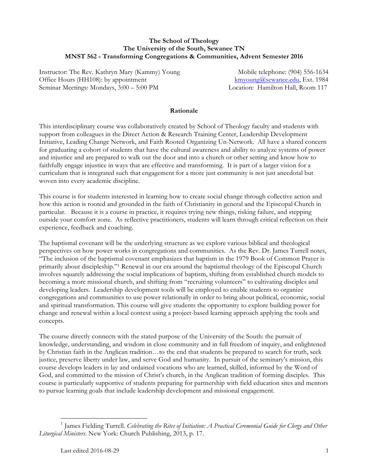## **The School of Theology The University of the South, Sewanee TN MNST 562 - Transforming Congregations & Communities, Advent Semester 2016**

Instructor: The Rev. Kathryn Mary (Kammy) Young Mobile telephone: (904) 556-1634 Office Hours (HH108): by appointment kmyoung@sewanee.edu, Ext. 1984 Seminar Meetings: Mondays, 3:00 – 5:00 PM Location: Hamilton Hall, Room 117

### **Rationale**

This interdisciplinary course was collaboratively created by School of Theology faculty and students with support from colleagues in the Direct Action & Research Training Center, Leadership Development Initiative, Leading Change Network, and Faith Rooted Organizing Un-Network. All have a shared concern for graduating a cohort of students that have the cultural awareness and ability to analyze systems of power and injustice and are prepared to walk out the door and into a church or other setting and know how to faithfully engage injustice in ways that are effective and transforming. It is part of a larger vision for a curriculum that is integrated such that engagement for a more just community is not just anecdotal but woven into every academic discipline.

This course is for students interested in learning how to create social change through collective action and how this action is rooted and grounded in the faith of Christianity in general and the Episcopal Church in particular. Because it is a course in practice, it requires trying new things, risking failure, and stepping outside your comfort zone. As reflective practitioners, students will learn through critical reflection on their experience, feedback and coaching.

The baptismal covenant will be the underlying structure as we explore various biblical and theological perspectives on how power works in congregations and communities. As the Rev. Dr. James Turrell notes, "The inclusion of the baptismal covenant emphasizes that baptism in the 1979 Book of Common Prayer is primarily about discipleship."1 Renewal in our era around the baptismal theology of the Episcopal Church involves squarely addressing the social implications of baptism, shifting from established church models to becoming a more missional church, and shifting from "recruiting volunteers" to cultivating disciples and developing leaders. Leadership development tools will be employed to enable students to organize congregations and communities to use power relationally in order to bring about political, economic, social and spiritual transformation. This course will give students the opportunity to explore building power for change and renewal within a local context using a project-based learning approach applying the tools and concepts.

The course directly connects with the stated purpose of the University of the South: the pursuit of knowledge, understanding, and wisdom in close community and in full freedom of inquiry, and enlightened by Christian faith in the Anglican tradition…to the end that students be prepared to search for truth, seek justice, preserve liberty under law, and serve God and humanity. In pursuit of the seminary's mission, this course develops leaders in lay and ordained vocations who are learned, skilled, informed by the Word of God, and committed to the mission of Christ's church, in the Anglican tradition of forming disciples. This course is particularly supportive of students preparing for partnership with field education sites and mentors to pursue learning goals that include leadership development and missional engagement.

<u>.</u>

<sup>1</sup> James Fielding Turrell. *Celebrating the Rites of Initiation: A Practical Ceremonial Guide for Clergy and Other Liturgical Ministers*. New York: Church Publishing, 2013, p. 17.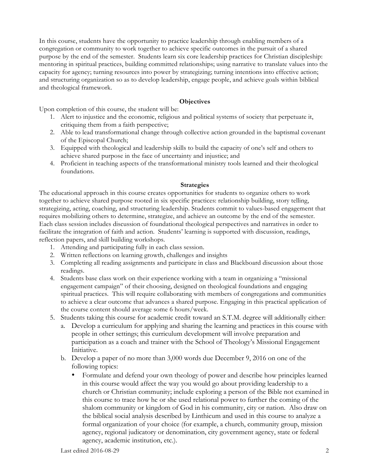In this course, students have the opportunity to practice leadership through enabling members of a congregation or community to work together to achieve specific outcomes in the pursuit of a shared purpose by the end of the semester. Students learn six core leadership practices for Christian discipleship: mentoring in spiritual practices, building committed relationships; using narrative to translate values into the capacity for agency; turning resources into power by strategizing; turning intentions into effective action; and structuring organization so as to develop leadership, engage people, and achieve goals within biblical and theological framework.

## **Objectives**

Upon completion of this course, the student will be:

- 1. Alert to injustice and the economic, religious and political systems of society that perpetuate it, critiquing them from a faith perspective;
- 2. Able to lead transformational change through collective action grounded in the baptismal covenant of the Episcopal Church;
- 3. Equipped with theological and leadership skills to build the capacity of one's self and others to achieve shared purpose in the face of uncertainty and injustice; and
- 4. Proficient in teaching aspects of the transformational ministry tools learned and their theological foundations.

#### **Strategies**

The educational approach in this course creates opportunities for students to organize others to work together to achieve shared purpose rooted in six specific practices: relationship building, story telling, strategizing, acting, coaching, and structuring leadership. Students commit to values-based engagement that requires mobilizing others to determine, strategize, and achieve an outcome by the end of the semester. Each class session includes discussion of foundational theological perspectives and narratives in order to facilitate the integration of faith and action. Students' learning is supported with discussion, readings, reflection papers, and skill building workshops.

- 1. Attending and participating fully in each class session.
- 2. Written reflections on learning growth, challenges and insights
- 3. Completing all reading assignments and participate in class and Blackboard discussion about those readings.
- 4. Students base class work on their experience working with a team in organizing a "missional engagement campaign" of their choosing, designed on theological foundations and engaging spiritual practices. This will require collaborating with members of congregations and communities to achieve a clear outcome that advances a shared purpose. Engaging in this practical application of the course content should average some 6 hours/week.
- 5. Students taking this course for academic credit toward an S.T.M. degree will additionally either:
	- a. Develop a curriculum for applying and sharing the learning and practices in this course with people in other settings; this curriculum development will involve preparation and participation as a coach and trainer with the School of Theology's Missional Engagement Initiative.
	- b. Develop a paper of no more than 3,000 words due December 9, 2016 on one of the following topics:
		- Formulate and defend your own theology of power and describe how principles learned in this course would affect the way you would go about providing leadership to a church or Christian community; include exploring a person of the Bible not examined in this course to trace how he or she used relational power to further the coming of the shalom community or kingdom of God in his community, city or nation. Also draw on the biblical social analysis described by Linthicum and used in this course to analyze a formal organization of your choice (for example, a church, community group, mission agency, regional judicatory or denomination, city government agency, state or federal agency, academic institution, etc.).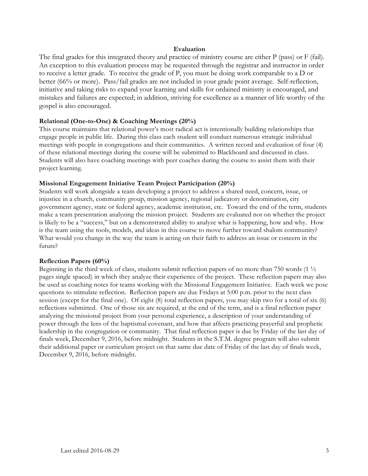## **Evaluation**

The final grades for this integrated theory and practice of ministry course are either P (pass) or F (fail). An exception to this evaluation process may be requested through the registrar and instructor in order to receive a letter grade. To receive the grade of P, you must be doing work comparable to a D or better (66% or more). Pass/fail grades are not included in your grade point average. Self-reflection, initiative and taking risks to expand your learning and skills for ordained ministry is encouraged, and mistakes and failures are expected; in addition, striving for excellence as a manner of life worthy of the gospel is also encouraged.

### **Relational (One-to-One) & Coaching Meetings (20%)**

This course maintains that relational power's most radical act is intentionally building relationships that engage people in public life. During this class each student will conduct numerous strategic individual meetings with people in congregations and their communities. A written record and evaluation of four (4) of these relational meetings during the course will be submitted to Blackboard and discussed in class. Students will also have coaching meetings with peer coaches during the course to assist them with their project learning.

### **Missional Engagement Initiative Team Project Participation (20%)**

Students will work alongside a team developing a project to address a shared need, concern, issue, or injustice in a church, community group, mission agency, regional judicatory or denomination, city government agency, state or federal agency, academic institution, etc. Toward the end of the term, students make a team presentation analyzing the mission project. Students are evaluated not on whether the project is likely to be a "success," but on a demonstrated ability to analyze what is happening, how and why. How is the team using the tools, models, and ideas in this course to move further toward shalom community? What would you change in the way the team is acting on their faith to address an issue or concern in the future?

#### **Reflection Papers (60%)**

Beginning in the third week of class, students submit reflection papers of no more than 750 words (1 ½ pages single spaced) in which they analyze their experience of the project. These reflection papers may also be used as coaching notes for teams working with the Missional Engagement Initiative. Each week we pose questions to stimulate reflection. Reflection papers are due Fridays at 5:00 p.m. prior to the next class session (except for the final one). Of eight (8) total reflection papers, you may skip two for a total of six (6) reflections submitted. One of those six are required, at the end of the term, and is a final reflection paper analyzing the missional project from your personal experience, a description of your understanding of power through the lens of the baptismal covenant, and how that affects practicing prayerful and prophetic leadership in the congregation or community. That final reflection paper is due by Friday of the last day of finals week, December 9, 2016, before midnight. Students in the S.T.M. degree program will also submit their additional paper or curriculum project on that same due date of Friday of the last day of finals week, December 9, 2016, before midnight.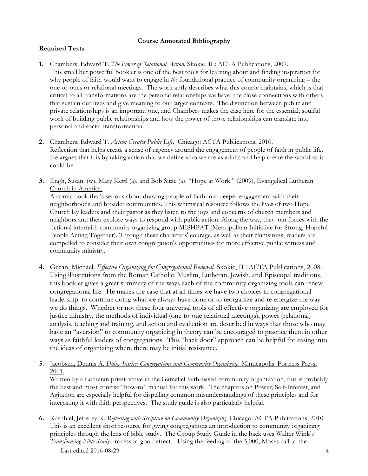## **Course Annotated Bibliography**

## **Required Texts**

- **1.** Chambers, Edward T. *The Power of Relational Action.* Skokie, IL: ACTA Publications, 2009. This small but powerful booklet is one of the best tools for learning about and finding inspiration for why people of faith would want to engage in *the* foundational practice of community organizing – the one-to-ones or relational meetings. The work aptly describes what this course maintains, which is that critical to all transformations are the personal relationships we have, the close connections with others that sustain our lives and give meaning to our larger contexts. The distinction between public and private relationships is an important one, and Chambers makes the case here for the essential, soulful work of building public relationships and how the power of those relationships can translate into personal and social transformation.
- **2.** Chambers, Edward T. *Action Creates Public Life*. Chicago: ACTA Publications, 2010. Reflection that helps create a sense of urgency around the engagement of people of faith in public life. He argues that it is by taking action that we define who we are as adults and help create the world-as-it could-be.
- **3.** Engh, Susan. (w), Mary Kettl (a), and Bob Sitze (a). "Hope at Work." (2009), Evangelical Lutheran Church in America.

A comic book that's serious about drawing people of faith into deeper engagement with their neighborhoods and broader communities. This whimsical resource follows the lives of two Hope Church lay leaders and their pastor as they listen to the joys and concerns of church members and neighbors and then explore ways to respond with public action. Along the way, they join forces with the fictional interfaith community organizing group MISHPAT (Metropolitan Initiative for Strong, Hopeful People Acting Together). Through these characters' courage, as well as their clumsiness, readers are compelled to consider their own congregation's opportunities for more effective public witness and community ministry.

- **4.** Gecan, Michael. *Effective Organizing for Congregational Renewal.* Skokie, IL: ACTA Publications, 2008. Using illustrations from the Roman Catholic, Muslim, Lutheran, Jewish, and Episcopal traditions, this booklet gives a great summary of the ways each of the community organizing tools can renew congregational life. He makes the case that at all times we have two choices in congregational leadership: to continue doing what we always have done or to reorganize and re-energize the way we do things. Whether or not these four universal tools of all effective organizing are employed for justice ministry, the methods of individual (one-to-one relational meetings), power (relational) analysis, teaching and training, and action and evaluation are described in ways that those who may have an "aversion" to community organizing in theory can be encouraged to practice them in other ways as faithful leaders of congregations. This "back door" approach can be helpful for easing into the ideas of organizing where there may be initial resistance.
- **5.** Jacobsen, Dennis A. *Doing Justice: Congregations and Community Organizing*. Minneapolis: Fortress Press, 2001.

Written by a Lutheran priest active in the Gamaliel faith-based community organization, this is probably the best and most concise "how-to" manual for this work. The chapters on Power, Self-Interest, and Agitation are especially helpful for dispelling common misunderstandings of these principles and for integrating it with faith perspectives. The study guide is also particularly helpful.

Last edited 2016-08-29 4 **6.** Krehbiel, Jefferey K. *Reflecting with Scripture on Community Organizing*. Chicago: ACTA Publications, 2010. This is an excellent short resource for giving congregations an introduction to community organizing principles through the lens of bible study. The Group Study Guide in the back uses Walter Wink's *Transforming Bible Study* process to good effect. Using the feeding of the 5,000, Moses call to the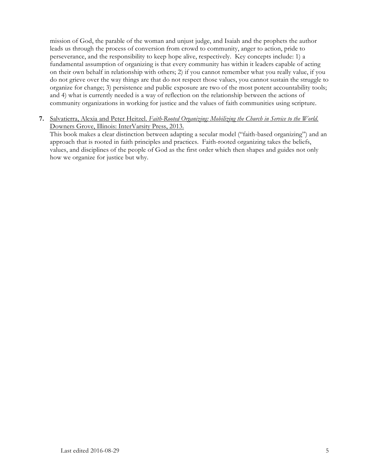mission of God, the parable of the woman and unjust judge, and Isaiah and the prophets the author leads us through the process of conversion from crowd to community, anger to action, pride to perseverance, and the responsibility to keep hope alive, respectively. Key concepts include: 1) a fundamental assumption of organizing is that every community has within it leaders capable of acting on their own behalf in relationship with others; 2) if you cannot remember what you really value, if you do not grieve over the way things are that do not respect those values, you cannot sustain the struggle to organize for change; 3) persistence and public exposure are two of the most potent accountability tools; and 4) what is currently needed is a way of reflection on the relationship between the actions of community organizations in working for justice and the values of faith communities using scripture.

**7.** Salvatierra, Alexia and Peter Heitzel. *Faith-Rooted Organizing: Mobilizing the Church in Service to the World*. Downers Grove, Illinois: InterVarsity Press, 2013.

This book makes a clear distinction between adapting a secular model ("faith-based organizing") and an approach that is rooted in faith principles and practices. Faith-rooted organizing takes the beliefs, values, and disciplines of the people of God as the first order which then shapes and guides not only how we organize for justice but why.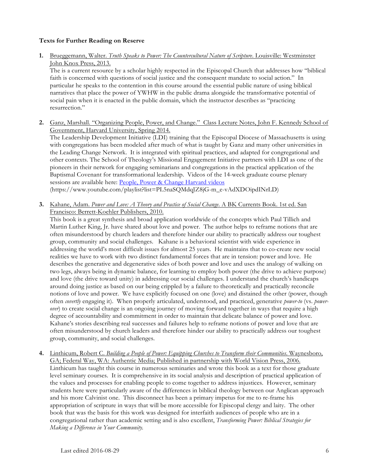## **Texts for Further Reading on Reserve**

**1.** Brueggemann, Walter. *Truth Speaks to Power: The Countercultural Nature of Scripture*. Louisville: Westminster John Knox Press, 2013.

The is a current resource by a scholar highly respected in the Episcopal Church that addresses how "biblical faith is concerned with questions of social justice and the consequent mandate to social action." In particular he speaks to the contention in this course around the essential public nature of using biblical narratives that place the power of YWHW in the public drama alongside the transformative potential of social pain when it is enacted in the public domain, which the instructor describes as "practicing resurrection."

**2.** Ganz, Marshall. "Organizing People, Power, and Change." Class Lecture Notes, John F. Kennedy School of Government, Harvard University, Spring 2014.

The Leadership Development Initiative (LDI) training that the Episcopal Diocese of Massachusetts is using with congregations has been modeled after much of what is taught by Ganz and many other universities in the Leading Change Network. It is integrated with spiritual practices, and adapted for congregational and other contexts. The School of Theology's Missional Engagement Initiative partners with LDI as one of the pioneers in their network for engaging seminarians and congregations in the practical application of the Baptismal Covenant for transformational leadership. Videos of the 14-week graduate course plenary sessions are available here: People, Power & Change Harvard videos (https://www.youtube.com/playlist?list=PL5naSQMdqJZ8jG-m\_e-vAdXDOipdINrLD)

**3.** Kahane, Adam. *Power and Love: A Theory and Practice of Social Change*. A BK Currents Book. 1st ed. San Francisco: Berrett-Koehler Publishers, 2010.

This book is a great synthesis and broad application worldwide of the concepts which Paul Tillich and Martin Luther King, Jr. have shared about love and power. The author helps to reframe notions that are often misunderstood by church leaders and therefore hinder our ability to practically address our toughest group, community and social challenges. Kahane is a behavioral scientist with wide experience in addressing the world's most difficult issues for almost 25 years. He maintains that to co-create new social realities we have to work with two distinct fundamental forces that are in tension: power and love. He describes the generative and degenerative sides of both power and love and uses the analogy of walking on two legs, always being in dynamic balance, for learning to employ both power (the drive to achieve purpose) and love (the drive toward unity) in addressing our social challenges. I understand the church's handicaps around doing justice as based on our being crippled by a failure to theoretically and practically reconcile notions of love and power. We have explicitly focused on one (love) and distained the other (power, though often *covertly* engaging it). When properly articulated, understood, and practiced, generative *power-to* (vs. *powerover*) to create social change is an ongoing journey of moving forward together in ways that require a high degree of accountability and commitment in order to maintain that delicate balance of power and love. Kahane's stories describing real successes and failures help to reframe notions of power and love that are often misunderstood by church leaders and therefore hinder our ability to practically address our toughest group, community, and social challenges.

**4.** Linthicum, Robert C. *Building a People of Power: Equipping Churches to Transform their Communities*. Waynesboro, GA; Federal Way, WA: Authentic Media; Published in partnership with World Vision Press, 2006. Linthicum has taught this course in numerous seminaries and wrote this book as a text for those graduate level seminary courses. It is comprehensive in its social analysis and description of practical application of the values and processes for enabling people to come together to address injustices. However, seminary students here were particularly aware of the differences in biblical theology between our Anglican approach and his more Calvinist one. This disconnect has been a primary impetus for me to re-frame his appropriation of scripture in ways that will be more accessible for Episcopal clergy and laity. The other book that was the basis for this work was designed for interfaith audiences of people who are in a congregational rather than academic setting and is also excellent, *Transforming Power: Biblical Strategies for Making a Difference in Your Community.*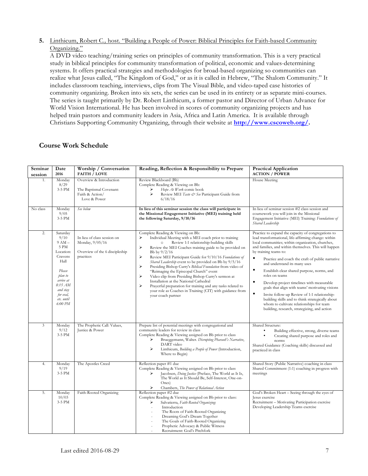## **5.** Linthicum, Robert C*.,* host. "Building a People of Power: Biblical Principles for Faith-based Community Organizing."

A DVD video teaching/training series on principles of community transformation. This is a very practical study in biblical principles for community transformation of political, economic and values-determining systems. It offers practical strategies and methodologies for broad-based organizing so communities can realize what Jesus called, "The Kingdom of God," or as it is called in Hebrew, "The Shalom Community." It includes classroom teaching, interviews, clips from The Visual Bible, and video-taped case histories of community organizing. Broken into six sets, the series can be used in its entirety or as separate mini-courses. The series is taught primarily by Dr. Robert Linthicum, a former pastor and Director of Urban Advance for World Vision International. He has been involved in scores of community organizing projects and has helped train pastors and community leaders in Asia, Africa and Latin America. It is available through Christians Supporting Community Organizing, through their website at **http://www.cscoweb.org/.**

## **Course Work Schedule**

| Seminar<br>session | Date<br>2016                                                                                                                                                       | Worship / Conversation<br><b>FAITH / LOVE</b>                                                 | Reading, Reflection & Responsibility to Prepare                                                                                                                                                                                                                                                                                                                                                                                                                                                                                                                                                                                                                                                                                            | <b>Practical Application</b><br><b>ACTION / POWER</b>                                                                                                                                                                                                                                                                                                                                                                                                                                                                                                                                                                                                                                                                                         |
|--------------------|--------------------------------------------------------------------------------------------------------------------------------------------------------------------|-----------------------------------------------------------------------------------------------|--------------------------------------------------------------------------------------------------------------------------------------------------------------------------------------------------------------------------------------------------------------------------------------------------------------------------------------------------------------------------------------------------------------------------------------------------------------------------------------------------------------------------------------------------------------------------------------------------------------------------------------------------------------------------------------------------------------------------------------------|-----------------------------------------------------------------------------------------------------------------------------------------------------------------------------------------------------------------------------------------------------------------------------------------------------------------------------------------------------------------------------------------------------------------------------------------------------------------------------------------------------------------------------------------------------------------------------------------------------------------------------------------------------------------------------------------------------------------------------------------------|
| 1.                 | Monday<br>8/29<br>3-5 PM                                                                                                                                           | Overview & Introduction<br>The Baptismal Covenant:<br>Faith & Action/<br>Love & Power         | Review Blackboard (Bb)<br>Complete Reading & Viewing on Bb:<br>Hope At Work comic book<br>⋗<br>Review MEI Taste & See Participant Guide from<br>6/18/16                                                                                                                                                                                                                                                                                                                                                                                                                                                                                                                                                                                    | House Meeting                                                                                                                                                                                                                                                                                                                                                                                                                                                                                                                                                                                                                                                                                                                                 |
| No class           | Monday<br>9/05<br>3-5 PM                                                                                                                                           | See below                                                                                     | In lieu of this seminar session the class will participate in<br>the Missional Engagement Initiative (MEI) training held<br>the following Saturday, 9/10/16                                                                                                                                                                                                                                                                                                                                                                                                                                                                                                                                                                                | In lieu of seminar session #2 class session and<br>coursework you will join in the Missional<br>Engagement Initiative (MEI) Training: Foundations of<br>Shared Leadership                                                                                                                                                                                                                                                                                                                                                                                                                                                                                                                                                                     |
| $\overline{2}$ .   | Saturday<br>9/10<br>$9AM -$<br>5 PM<br>Location:<br>Cravens<br>Hall<br>Please<br>plan to<br>arrive at<br>8:15 AM<br>and stay<br>for eval,<br>etc. until<br>6:00 PM | In lieu of class session on<br>Monday, 9/05/16<br>Overview of the 6 discipleship<br>practices | Complete Reading & Viewing on Bb:<br>Individual Meeting with a MEI coach prior to training<br>⋗<br>Review 1:1 relationship-building skills<br>$\circ$<br>⋗<br>Review the MEI Coaches training guide to be provided on<br>Bb by $9/2/16$<br>⋗<br>Review MEI Participant Guide for 9/10/16 Foundations of<br>Shared Leadership event to be provided on Bb by 9/5/16<br>➤<br>Presiding Bishop Curry's Biblical Foundation from video of<br>"Reimaging the Episcopal Church" event<br>Video clip from Presiding Bishop Curry's sermon at<br>⋗<br>Installation at the National Cathedral<br>⋗<br>Prayerful preparation for training and any tasks related to<br>your role as Coaches in Training (CIT) with guidance from<br>your coach partner | Practice to expand the capacity of congregations to<br>lead transformational, life-affirming change: within<br>local communities; within organization, churches,<br>and families, and within themselves. This will happen<br>by training teams to:<br>$\bullet$<br>Practice and coach the craft of public narrative<br>and understand its many uses<br>$\bullet$<br>Establish clear shared purpose, norms, and<br>roles on teams<br>$\bullet$<br>Develop project timelines with measurable<br>goals that align with teams' motivating visions<br>Invite follow-up Review of 1:1 relationship-<br>building skills and to think strategically about<br>whom to cultivate relationships for team<br>building, research, strategizing, and action |
| 3                  | Monday<br>9/12<br>3-5 PM                                                                                                                                           | The Prophetic Call: Values,<br>Justice & Power                                                | Prepare list of potential meetings with congregational and<br>community leaders for review in class<br>Complete Reading & Viewing assigned on Bb prior to class<br>Brueggemann, Walter. Disrupting Pharaoh's Narrative,<br>⋗<br>DART video<br>$\blacktriangleright$<br>Linthicum, Building a People of Power (Introduction,<br>Where to Begin)                                                                                                                                                                                                                                                                                                                                                                                             | Shared Structure:<br>Building effective, strong, diverse teams<br>$\bullet$<br>Creating shared purpose and roles and<br>norms<br>Shared Guidance (Coaching skills) discussed and<br>practiced in class                                                                                                                                                                                                                                                                                                                                                                                                                                                                                                                                        |
| 4.                 | Monday<br>9/19<br>3-5 PM                                                                                                                                           | The Apostles Creed                                                                            | Reflection paper #1 due<br>Complete Reading & Viewing assigned on Bb prior to class<br>Jacobsen, Doing Justice (Preface, The World as It Is,<br>⋗<br>The World as It Should Be, Self-Interest, One-on-<br>Ones)<br>⋗<br>Chambers, The Power of Relational Action                                                                                                                                                                                                                                                                                                                                                                                                                                                                           | Shared Story (Public Narrative) coaching in class<br>Shared Commitment (1:1) coaching in progress with<br>meetings                                                                                                                                                                                                                                                                                                                                                                                                                                                                                                                                                                                                                            |
| 5.                 | Monday<br>10/03<br>3-5 PM                                                                                                                                          | Faith-Rooted Organizing                                                                       | Reflection paper #2 due<br>Complete Reading & Viewing assigned on Bb prior to class:<br>Salvatierra, Faith-Rooted Organizing:<br>⋗<br>Introduction<br>The Roots of Faith-Rooted Organizing<br>Dreaming God's Dream Together<br>The Goals of Faith-Rooted Organizing<br>Prophetic Advocacy & Public Witness<br>Recruitment: God's Pitchfork                                                                                                                                                                                                                                                                                                                                                                                                 | God's Broken Heart - Seeing through the eyes of<br>Jesus exercise<br>Recruitment - Motivating Participation exercise<br>Developing Leadership Teams exercise                                                                                                                                                                                                                                                                                                                                                                                                                                                                                                                                                                                  |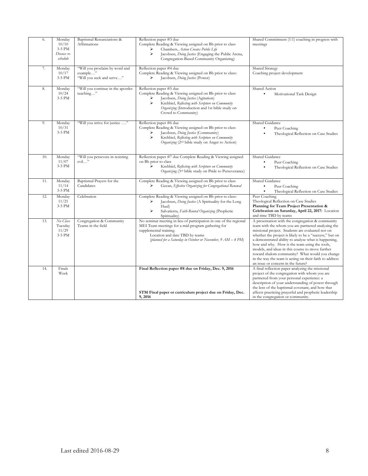| 6.  | Monday<br>10/10<br>3-5 PM<br>Discuss re-<br>schedule | Baptismal Renunciations &<br>Affirmations                               | Reflection paper #3 due<br>Complete Reading & Viewing assigned on Bb prior to class<br>Chambers, Action Creates Public Life<br>⋗<br>⋗<br>Jacobsen, Doing Justice (Engaging the Public Arena,<br>Congregation-Based Community Organizing)                           | Shared Commitment (1:1) coaching in progress with<br>meetings                                                                                                                                                                                                                                                                                                                                                                                                                                                                         |
|-----|------------------------------------------------------|-------------------------------------------------------------------------|--------------------------------------------------------------------------------------------------------------------------------------------------------------------------------------------------------------------------------------------------------------------|---------------------------------------------------------------------------------------------------------------------------------------------------------------------------------------------------------------------------------------------------------------------------------------------------------------------------------------------------------------------------------------------------------------------------------------------------------------------------------------------------------------------------------------|
| 7.  | Monday<br>10/17<br>3-5 PM                            | "Will you proclaim by word and<br>example"<br>"Will you seek and serve" | Reflection paper #4 due<br>Complete Reading & Viewing assigned on Bb prior to class:<br>Jacobsen, Doing Justice (Power)<br>⋗                                                                                                                                       | Shared Strategy<br>Coaching project development                                                                                                                                                                                                                                                                                                                                                                                                                                                                                       |
| 8.  | Monday<br>10/24<br>3-5 PM                            | "Will you continue in the apostles<br>teaching"                         | Reflection paper #5 due<br>Complete Reading & Viewing assigned on Bb prior to class<br>Jacobsen, Doing Justice (Agitation)<br>⋗<br>⋗<br>Krehbiel, Reflecting with Scripture on Community<br>Organizing (Introduction and 1st bible study on<br>Crowd to Community) | Shared Action<br>٠<br>Motivational Task Design                                                                                                                                                                                                                                                                                                                                                                                                                                                                                        |
| 9.  | Monday<br>10/31<br>3-5 PM                            | "Will you strive for justice "                                          | Reflection paper #6 due<br>Complete Reading & Viewing assigned on Bb prior to class<br>Jacobsen, Doing Justice (Community)<br>⋗<br>⋗<br>Krehbiel, Reflecting with Scripture on Community<br>Organizing (2 <sup>nd</sup> bible study on Anger to Action)            | Shared Guidance<br>Peer Coaching<br>Theological Reflection on Case Studies                                                                                                                                                                                                                                                                                                                                                                                                                                                            |
| 10. | Monday<br>11/07<br>3-5 PM                            | "Will you persevere in resisting<br>evil"                               | Reflection paper #7 due Complete Reading & Viewing assigned<br>on Bb prior to class<br>Krehbiel, Reflecting with Scripture on Community<br>⋗<br>Organizing (3rd bible study on Pride to Perseverance)                                                              | Shared Guidance<br>Peer Coaching<br>Theological Reflection on Case Studies                                                                                                                                                                                                                                                                                                                                                                                                                                                            |
| 11. | Monday<br>11/14<br>3-5 PM                            | Baptismal Prayers for the<br>Candidates                                 | Complete Reading & Viewing assigned on Bb prior to class<br>Gecan, Effective Organizing for Congregational Renewal<br>⋗                                                                                                                                            | Shared Guidance<br>$\bullet$<br>Peer Coaching<br>Theological Reflection on Case Studies                                                                                                                                                                                                                                                                                                                                                                                                                                               |
| 12. | Monday<br>11/21<br>3-5 PM                            | Celebration                                                             | Complete Reading & Viewing assigned on Bb prior to class:<br>Jacobsen, <i>Doing Justice</i> (A Spirituality for the Long<br>⋗<br>Haul)<br>⋗<br>Salvatierra, Faith-Rooted Organizing (Prophetic<br>Spirituality)                                                    | Peer Coaching<br>Theological Reflection on Case Studies<br>Planning for Team Project Presentation &<br>Celebration on Saturday, April 22, 2017: Location<br>and time TBD by teams                                                                                                                                                                                                                                                                                                                                                     |
| 13. | No Class<br>Tuesday<br>11/29<br>3-5 PM               | Congregation & Community<br>Teams in the field                          | No seminar meeting in lieu of participation in one of the regional<br>MEI Team meetings for a mid-program gathering for<br>supplemental training.<br>Location and date TBD by teams<br>(planned for a Saturday in October or November, 9 AM - 4 PM)                | A presentation with the congregation & community<br>team with the whom you are partnered analyzing the<br>missional project. Students are evaluated not on<br>whether the project is likely to be a "success," but on<br>a demonstrated ability to analyze what is happening,<br>how and why. How is the team using the tools,<br>models, and ideas in this course to move further<br>toward shalom community? What would you change<br>in the way the team is acting on their faith to address<br>an issue or concern in the future? |
| 14. | Finals<br>Week                                       |                                                                         | Final Reflection paper #8 due on Friday, Dec. 9, 2016<br>STM Final paper or curriculum project due on Friday, Dec.                                                                                                                                                 | A final reflection paper analyzing the missional<br>project of the congregation with whom you are<br>partnered from your personal experience: a<br>description of your understanding of power through<br>the lens of the baptismal covenant, and how that<br>affects practicing prayerful and prophetic leadership                                                                                                                                                                                                                    |
|     |                                                      |                                                                         | 9, 2016                                                                                                                                                                                                                                                            | in the congregation or community.                                                                                                                                                                                                                                                                                                                                                                                                                                                                                                     |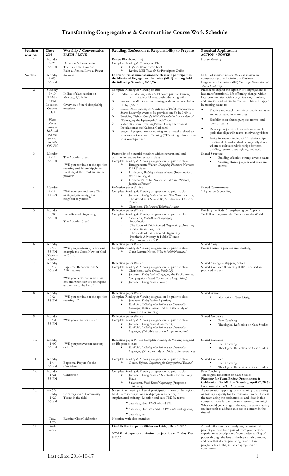# **Transforming Congregations & Communities Course Work Schedule**

| Seminar<br>session   | Date<br>2016                                                                                                                                                                  | Worship / Conversation<br><b>FAITH / LOVE</b>                                                                                                | Reading, Reflection & Responsibility to Prepare                                                                                                                                                                                                                                                                                                                                                                                                                                                                                                                                                                                                                                                                                                                                                          | <b>Practical Application</b><br><b>ACTION / POWER</b>                                                                                                                                                                                                                                                                                                                                                                                                                                                                                                                                                                                                                                                                                                           |
|----------------------|-------------------------------------------------------------------------------------------------------------------------------------------------------------------------------|----------------------------------------------------------------------------------------------------------------------------------------------|----------------------------------------------------------------------------------------------------------------------------------------------------------------------------------------------------------------------------------------------------------------------------------------------------------------------------------------------------------------------------------------------------------------------------------------------------------------------------------------------------------------------------------------------------------------------------------------------------------------------------------------------------------------------------------------------------------------------------------------------------------------------------------------------------------|-----------------------------------------------------------------------------------------------------------------------------------------------------------------------------------------------------------------------------------------------------------------------------------------------------------------------------------------------------------------------------------------------------------------------------------------------------------------------------------------------------------------------------------------------------------------------------------------------------------------------------------------------------------------------------------------------------------------------------------------------------------------|
| 1.                   | Monday<br>8/29<br>3-5 PM                                                                                                                                                      | Overview & Introduction<br>The Baptismal Covenant:<br>Faith & Action/Love & Power                                                            | Review Blackboard (Bb)<br>Complete Reading & Viewing on Bb:<br>Hope At Work comic book<br>⋗<br>Review MEI Taste & See Participant Guide                                                                                                                                                                                                                                                                                                                                                                                                                                                                                                                                                                                                                                                                  | House Meeting                                                                                                                                                                                                                                                                                                                                                                                                                                                                                                                                                                                                                                                                                                                                                   |
| No class             | Monday<br>9/05<br>3-5 PM                                                                                                                                                      | See below                                                                                                                                    | In lieu of this seminar session the class will participate in<br>the Missional Engagement Initiative (MEI) training held<br>the following Saturday, 9/10/16                                                                                                                                                                                                                                                                                                                                                                                                                                                                                                                                                                                                                                              | In lieu of seminar session #2 class session and<br>coursework you will join in the Missional<br>Engagement Initiative (MEI) Training: Foundations of<br>Shared Leadership                                                                                                                                                                                                                                                                                                                                                                                                                                                                                                                                                                                       |
| 2.<br>$\mathfrak{Z}$ | Saturday<br>9/10<br>$9 AM -$<br>5 PM<br>Location:<br>Cravens<br>Hall<br>Please<br>plan to<br>arrive at<br>8:15 AM<br>and stay<br>for eval,<br>etc. until<br>6:00 PM<br>Monday | In lieu of class session on<br>Monday, 9/05/16<br>Overview of the 6 discipleship<br>practices                                                | Complete Reading & Viewing on Bb:<br>⋗<br>Individual Meeting with a MEI coach prior to training<br>Review 1:1 relationship-building skills<br>$\circ$<br>⋗<br>Review the MEI Coaches training guide to be provided on<br>Bb by $9/2/16$<br>⋗<br>Review MEI Participant Guide for 9/10/16 Foundations of<br>Shared Leadership event to be provided on Bb by 9/5/16<br>⋗<br>Presiding Bishop Curry's Biblical Foundation from video of<br>"Reimaging the Episcopal Church" event<br>⋗<br>Video clip from Presiding Bishop Curry's sermon at<br>Installation at the National Cathedral<br>⋗<br>Prayerful preparation for training and any tasks related to<br>your role as Coaches in Training (CIT) with guidance from<br>your coach partner<br>Prepare list of potential meetings with congregational and | Practice to expand the capacity of congregations to<br>lead transformational, life-affirming change: within<br>local communities; within organization, churches,<br>and families, and within themselves. This will happen<br>by training teams to:<br>$\bullet$<br>Practice and coach the craft of public narrative<br>and understand its many uses<br>٠<br>Establish clear shared purpose, norms, and<br>roles on teams<br>$\bullet$<br>Develop project timelines with measurable<br>goals that align with teams' motivating visions<br>٠<br>Invite follow-up Review of 1:1 relationship-<br>building skills and to think strategically about<br>whom to cultivate relationships for team<br>building, research, strategizing, and action<br>Shared Structure: |
|                      | 9/12<br>3-5 PM                                                                                                                                                                | The Apostles Creed<br>"Will you continue in the apostles<br>teaching and fellowship, in the<br>breaking of the bread and in the<br>prayers?" | community leaders for review in class<br>Complete Reading & Viewing assigned on Bb prior to class<br>⋗<br>Brueggemann, Walter. Disrupting Pharaoh's Narrative,<br>DART video<br>⋗<br>Linthicum, Building a People of Power (Introduction,<br>Where to Begin)<br>⋗<br>Linthicum's "The Prophetic Call" and "Values,<br>Justice & Power"                                                                                                                                                                                                                                                                                                                                                                                                                                                                   | ٠<br>Building effective, strong, diverse teams<br>Creating shared purpose and roles and<br>٠<br>norms                                                                                                                                                                                                                                                                                                                                                                                                                                                                                                                                                                                                                                                           |
| 4.                   | Monday<br>9/19<br>3-5 PM                                                                                                                                                      | "Will you seek and serve Christ<br>in all people, loving your<br>neighbor as yourself"                                                       | Reflection paper #1 due<br>Complete Reading & Viewing assigned on Bb prior to class<br>Jacobsen, Doing Justice (Preface, The World as It Is,<br>➤<br>The World as It Should Be, Self-Interest, One-on-<br>Ones)<br>Chambers, The Power of Relational Action<br>⋗                                                                                                                                                                                                                                                                                                                                                                                                                                                                                                                                         | Shared Commitment:<br>1:1 practice & coaching                                                                                                                                                                                                                                                                                                                                                                                                                                                                                                                                                                                                                                                                                                                   |
| 5.                   | Monday<br>10/03<br>3-5 PM                                                                                                                                                     | Faith-Rooted Organizing<br>The Apostles Creed                                                                                                | Reflection paper #2 due<br>Complete Reading & Viewing assigned on Bb prior to class:<br>Salvatierra, Faith-Rooted Organizing:<br>⋗<br>Introduction<br>The Roots of Faith-Rooted Organizing: Dreaming<br>God's Dream Together<br>The Goals of Faith-Rooted Organizing<br>Prophetic Advocacy & Public Witness<br>Recruitment: God's Pitchfork                                                                                                                                                                                                                                                                                                                                                                                                                                                              | Building the Body: Strengthening our Capacity<br>To Follow the Jesus who Transforms the World                                                                                                                                                                                                                                                                                                                                                                                                                                                                                                                                                                                                                                                                   |
| 6.                   | Monday<br>10/10<br>3-5 PM<br>Discuss re-<br>schedule                                                                                                                          | "Will you proclaim by word and<br>example the Good News of God<br>in Christ"                                                                 | Reflection paper #3 due<br>Complete Reading & Viewing assigned on Bb prior to class<br>➤<br>Ganz Lecture Notes, What is Public Narrative?                                                                                                                                                                                                                                                                                                                                                                                                                                                                                                                                                                                                                                                                | Shared Story:<br>Public Narrative practice and coaching                                                                                                                                                                                                                                                                                                                                                                                                                                                                                                                                                                                                                                                                                                         |
| 7.                   | Monday<br>10/17<br>3-5 PM                                                                                                                                                     | Baptismal Renunciations &<br>Affirmations<br>"Will you persevere in resisting<br>evil and whenever you sin repent<br>and return to the Lord? | Reflection paper #4 due<br>Complete Reading & Viewing assigned on Bb prior to class:<br>Chambers, Action Creates Public Life<br>⋗<br>Jacobsen, Doing Justice (Engaging the Public Arena,<br>⋗<br>Congregation-Based Community Organizing)<br>⋗<br>Jacobsen, Doing Justice (Power)                                                                                                                                                                                                                                                                                                                                                                                                                                                                                                                        | Shared Strategy - Mapping Actors<br>Shared Guidance (Coaching skills) discussed and<br>practiced in class                                                                                                                                                                                                                                                                                                                                                                                                                                                                                                                                                                                                                                                       |
| 8.                   | Monday<br>10/24<br>3-5 PM                                                                                                                                                     | "Will you continue in the apostles<br>teaching"                                                                                              | Reflection paper #5 due<br>Complete Reading & Viewing assigned on Bb prior to class<br>Jacobsen, Doing Justice (Agitation)<br>⋗<br>⋗<br>Krehbiel, Reflecting with Scripture on Community<br>Organizing (Introduction and 1st bible study on<br>Crowd to Community)                                                                                                                                                                                                                                                                                                                                                                                                                                                                                                                                       | Shared Action<br>Motivational Task Design<br>٠                                                                                                                                                                                                                                                                                                                                                                                                                                                                                                                                                                                                                                                                                                                  |
| 9.                   | Monday<br>10/31<br>3-5 PM                                                                                                                                                     | "Will you strive for justice "                                                                                                               | Reflection paper #6 due<br>Complete Reading & Viewing assigned on Bb prior to class<br>Jacobsen, Doing Justice (Community)<br>⋗<br>Krehbiel, Reflecting with Scripture on Community<br>Organizing (2 <sup>nd</sup> bible study on Anger to Action)                                                                                                                                                                                                                                                                                                                                                                                                                                                                                                                                                       | Shared Guidance<br>$\bullet$<br>Peer Coaching<br>Theological Reflection on Case Studies                                                                                                                                                                                                                                                                                                                                                                                                                                                                                                                                                                                                                                                                         |
| 10.                  | Monday<br>11/07<br>3-5 PM                                                                                                                                                     | "Will you persevere in resisting<br>$evil$ "                                                                                                 | Reflection paper #7 due Complete Reading & Viewing assigned<br>on Bb prior to class<br>⋗<br>Krehbiel, Reflecting with Scripture on Community<br>Organizing (3rd bible study on Pride to Perseverance)                                                                                                                                                                                                                                                                                                                                                                                                                                                                                                                                                                                                    | Shared Guidance<br>Peer Coaching<br>Theological Reflection on Case Studies                                                                                                                                                                                                                                                                                                                                                                                                                                                                                                                                                                                                                                                                                      |
| 11.                  | Monday<br>11/14<br>3-5 PM                                                                                                                                                     | Baptismal Prayers for the<br>Candidates                                                                                                      | Complete Reading & Viewing assigned on Bb prior to class<br>Gecan, Effective Organizing for Congregational Renewal<br>⋗                                                                                                                                                                                                                                                                                                                                                                                                                                                                                                                                                                                                                                                                                  | Shared Guidance<br>$\bullet$<br>Peer Coaching<br>$\bullet$<br>Theological Reflection on Case Studies                                                                                                                                                                                                                                                                                                                                                                                                                                                                                                                                                                                                                                                            |
| 12.                  | Monday<br>11/21<br>3-5 PM                                                                                                                                                     | Celebration                                                                                                                                  | Complete Reading & Viewing assigned on Bb prior to class:<br>Jacobsen, Doing Justice (A Spirituality for the Long<br>Haul)<br>⋗<br>Salvatierra, Faith-Rooted Organizing (Prophetic<br>Spirituality)                                                                                                                                                                                                                                                                                                                                                                                                                                                                                                                                                                                                      | Peer Coaching<br>Theological Reflection on Case Studies<br>Planning for Team Project Presentation &<br>Celebration (for MEI on Saturday, April 22, 2017)<br>Location and time TBD by teams                                                                                                                                                                                                                                                                                                                                                                                                                                                                                                                                                                      |
| 13.                  | No Class<br>Tuesday<br>11/29<br>3-5 PM<br>Tue.,                                                                                                                               | Congregation & Community<br>Teams in the field<br>Evening Class Celebration                                                                  | No seminar meeting in lieu of participation in one of the regional<br>MEI Team meetings for a mid-program gathering for<br>supplemental training. Location and date TBD by teams<br>• Saturday, Nov. 12th 9 AM - 4 PM<br>• Saturday, Dec. 3rd 9 AM - 3 PM (with working lunch)<br>· Saturday, Jan.<br>Negotiate with class members                                                                                                                                                                                                                                                                                                                                                                                                                                                                       | A presentation applying course learning to analyzing<br>or building capacity for the missional project. How is<br>the team using the tools, models, and ideas in this<br>course to move further toward shalom community?<br>What would you change in the way the team is acting<br>on their faith to address an issue or concern in the<br>future?                                                                                                                                                                                                                                                                                                                                                                                                              |
| 14.                  | 11/29<br>Finals                                                                                                                                                               |                                                                                                                                              | Final Reflection paper #8 due on Friday, Dec. 9, 2016                                                                                                                                                                                                                                                                                                                                                                                                                                                                                                                                                                                                                                                                                                                                                    | A final reflection paper analyzing the missional                                                                                                                                                                                                                                                                                                                                                                                                                                                                                                                                                                                                                                                                                                                |
|                      | Week                                                                                                                                                                          |                                                                                                                                              | STM Final paper or curriculum project due on Friday, Dec.<br>9, 2016                                                                                                                                                                                                                                                                                                                                                                                                                                                                                                                                                                                                                                                                                                                                     | project you have been part of from your personal<br>experience: a description of your understanding of<br>power through the lens of the baptismal covenant,<br>and how that affects practicing prayerful and<br>prophetic leadership in the congregation or<br>community.                                                                                                                                                                                                                                                                                                                                                                                                                                                                                       |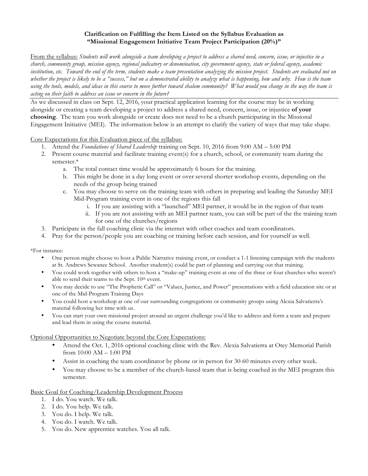## **Clarification on Fulfilling the Item Listed on the Syllabus Evaluation as "Missional Engagement Initiative Team Project Participation (20%)"**

From the syllabus: *Students will work alongside a team developing a project to address a shared need, concern, issue, or injustice in a church, community group, mission agency, regional judicatory or denomination, city government agency, state or federal agency, academic institution, etc. Toward the end of the term, students make a team presentation analyzing the mission project. Students are evaluated not on whether the project is likely to be a "success," but on a demonstrated ability to analyze what is happening, how and why. How is the team using the tools, models, and ideas in this course to move further toward shalom community? What would you change in the way the team is acting on their faith to address an issue or concern in the future?*

As we discussed in class on Sept. 12, 2016, your practical application learning for the course may be in working alongside or creating a team developing a project to address a shared need, concern, issue, or injustice **of your choosing**. The team you work alongside or create does not need to be a church participating in the Missional Engagement Initiative (MEI). The information below is an attempt to clarify the variety of ways that may take shape.

### Core Expectations for this Evaluation piece of the syllabus:

- 1. Attend the *Foundations of Shared Leadership* training on Sept. 10, 2016 from 9:00 AM 5:00 PM
- 2. Present course material and facilitate training event(s) for a church, school, or community team during the semester.\*
	- a. The total contact time would be approximately 6 hours for the training.
	- b. This might be done in a day long event or over several shorter workshop events, depending on the needs of the group being trained
	- c. You may choose to serve on the training team with others in preparing and leading the Saturday MEI Mid-Program training event in one of the regions this fall
		- i. If you are assisting with a "launched" MEI partner, it would be in the region of that team
		- ii. If you are not assisting with an MEI partner team, you can still be part of the the training team for one of the churches/regions
- 3. Participate in the fall coaching clinic via the internet with other coaches and team coordinators.
- 4. Pray for the person/people you are coaching or training before each session, and for yourself as well.

\*For instance:

- One person might choose to host a Public Narrative training event, or conduct a 1-1 listening campaign with the students at St. Andrews Sewanee School. Another student(s) could be part of planning and carrying out that training.
- You could work together with others to host a "make-up" training event at one of the three or four churches who weren't able to send their teams to the Sept. 10<sup>th</sup> event.
- You may decide to use "The Prophetic Call" or "Values, Justice, and Power" presentations with a field education site or at one of the Mid-Program Training Days
- You could host a workshop at one of our surrounding congregations or community groups using Alexia Salvatierra's material following her time with us.
- You can start your own missional project around an urgent challenge you'd like to address and form a team and prepare and lead them in using the course material.

#### Optional Opportunities to Negotiate beyond the Core Expectations:

- Attend the Oct. 1, 2016 optional coaching clinic with the Rev. Alexia Salvatierra at Otey Memorial Parish from 10:00 AM – 1:00 PM
- Assist in coaching the team coordinator by phone or in person for 30-60 minutes every other week.
- You may choose to be a member of the church-based team that is being coached in the MEI program this semester.

#### Basic Goal for Coaching/Leadership Development Process

- 1. I do. You watch. We talk.
- 2. I do. You help. We talk.
- 3. You do. I help. We talk.
- 4. You do. I watch. We talk.
- 5. You do. New apprentice watches. You all talk.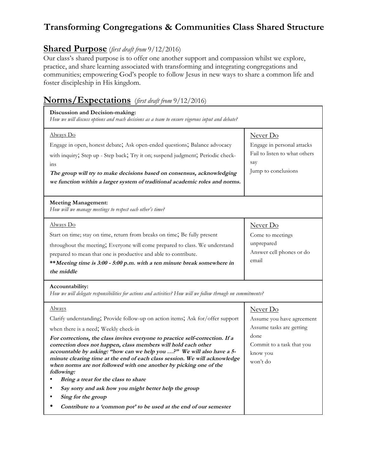# **Transforming Congregations & Communities Class Shared Structure**

## **Shared Purpose** (*first draft from* 9/12/2016)

Our class's shared purpose is to offer one another support and compassion whilst we explore, practice, and share learning associated with transforming and integrating congregations and communities; empowering God's people to follow Jesus in new ways to share a common life and foster discipleship in His kingdom.

## **Norms/Expectations** (*first draft from* 9/12/2016)

| Discussion and Decision-making:<br>How we will discuss options and reach decisions as a team to ensure vigorous input and debate?                                                                                                                                                                                                                                                                                                                                                                                                                                                                                                                                                                                             |                                                                                                                                |
|-------------------------------------------------------------------------------------------------------------------------------------------------------------------------------------------------------------------------------------------------------------------------------------------------------------------------------------------------------------------------------------------------------------------------------------------------------------------------------------------------------------------------------------------------------------------------------------------------------------------------------------------------------------------------------------------------------------------------------|--------------------------------------------------------------------------------------------------------------------------------|
| Always Do<br>Engage in open, honest debate; Ask open-ended questions; Balance advocacy<br>with inquiry, Step up - Step back, Try it on; suspend judgment, Periodic check-<br>ins<br>The group will try to make decisions based on consensus, acknowledging<br>we function within a larger system of traditional academic roles and norms.                                                                                                                                                                                                                                                                                                                                                                                     | Never Do<br>Engage in personal attacks<br>Fail to listen to what others<br>say<br>Jump to conclusions                          |
| <b>Meeting Management:</b><br>How will we manage meetings to respect each other's time?                                                                                                                                                                                                                                                                                                                                                                                                                                                                                                                                                                                                                                       |                                                                                                                                |
| Always Do<br>Start on time; stay on time, return from breaks on time; Be fully present<br>throughout the meeting; Everyone will come prepared to class. We understand<br>prepared to mean that one is productive and able to contribute.<br>**Meeting time is 3:00 - 5:00 p.m. with a ten minute break somewhere in<br>the middle                                                                                                                                                                                                                                                                                                                                                                                             | Never Do<br>Come to meetings<br>unprepared<br>Answer cell phones or do<br>email                                                |
| Accountability:<br>How we will delegate responsibilities for actions and activities? How will we follow through on commitments?                                                                                                                                                                                                                                                                                                                                                                                                                                                                                                                                                                                               |                                                                                                                                |
| Always<br>Clarify understanding, Provide follow-up on action items, Ask for/offer support<br>when there is a need; Weekly check-in<br>For corrections, the class invites everyone to practice self-correction. If a<br>correction does not happen, class members will hold each other<br>accountable by asking: "how can we help you ?" We will also have a 5-<br>minute clearing time at the end of each class session. We will acknowledge<br>when norms are not followed with one another by picking one of the<br>following:<br>Bring a treat for the class to share<br>Say sorry and ask how you might better help the group<br>Sing for the group<br>Contribute to a 'common pot' to be used at the end of our semester | Never Do<br>Assume you have agreement<br>Assume tasks are getting<br>done<br>Commit to a task that you<br>know you<br>won't do |